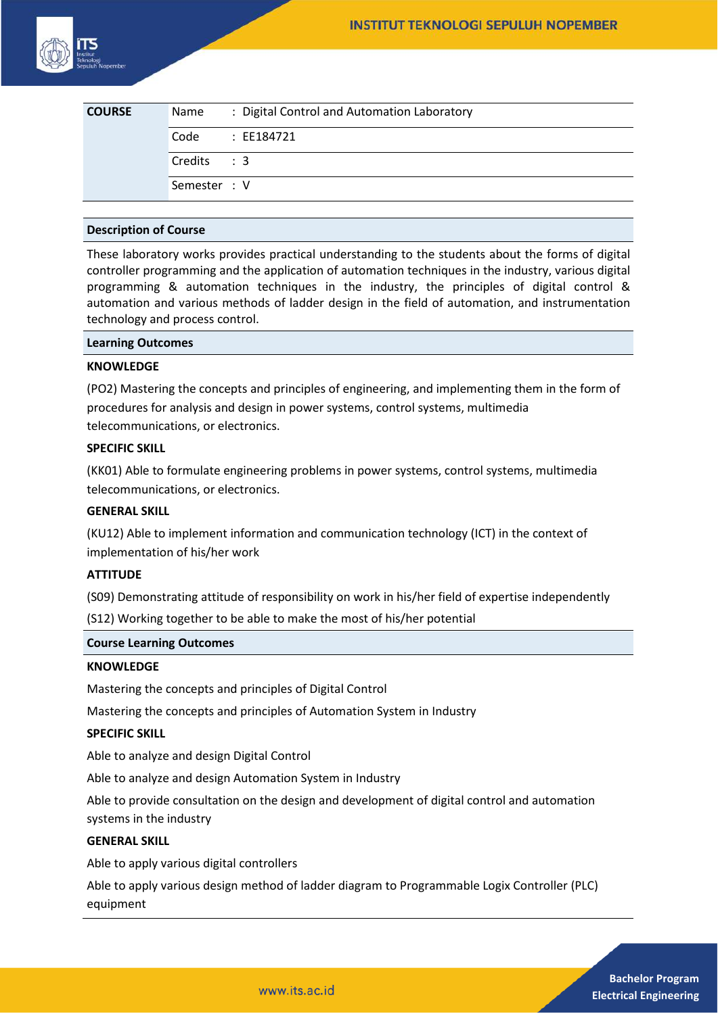| <b>COURSE</b> | Name         | : Digital Control and Automation Laboratory |
|---------------|--------------|---------------------------------------------|
|               | Code         | : EE184721                                  |
|               | Credits: 3   |                                             |
|               | Semester : V |                                             |

## **Description of Course**

These laboratory works provides practical understanding to the students about the forms of digital controller programming and the application of automation techniques in the industry, various digital programming & automation techniques in the industry, the principles of digital control & automation and various methods of ladder design in the field of automation, and instrumentation technology and process control.

#### **Learning Outcomes**

### **KNOWLEDGE**

(PO2) Mastering the concepts and principles of engineering, and implementing them in the form of procedures for analysis and design in power systems, control systems, multimedia telecommunications, or electronics.

## **SPECIFIC SKILL**

(KK01) Able to formulate engineering problems in power systems, control systems, multimedia telecommunications, or electronics.

#### **GENERAL SKILL**

(KU12) Able to implement information and communication technology (ICT) in the context of implementation of his/her work

#### **ATTITUDE**

(S09) Demonstrating attitude of responsibility on work in his/her field of expertise independently

(S12) Working together to be able to make the most of his/her potential

#### **Course Learning Outcomes**

#### **KNOWLEDGE**

Mastering the concepts and principles of Digital Control

Mastering the concepts and principles of Automation System in Industry

## **SPECIFIC SKILL**

Able to analyze and design Digital Control

Able to analyze and design Automation System in Industry

Able to provide consultation on the design and development of digital control and automation systems in the industry

### **GENERAL SKILL**

Able to apply various digital controllers

Able to apply various design method of ladder diagram to Programmable Logix Controller (PLC) equipment